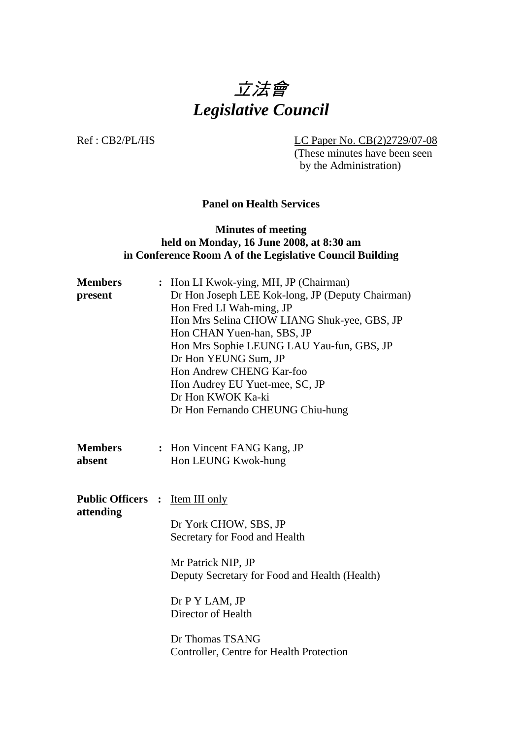

Ref : CB2/PL/HS LC Paper No. CB(2)2729/07-08 (These minutes have been seen by the Administration)

**Panel on Health Services** 

#### **Minutes of meeting held on Monday, 16 June 2008, at 8:30 am in Conference Room A of the Legislative Council Building**

| <b>Members</b><br>present             | Hon LI Kwok-ying, MH, JP (Chairman)<br>Dr Hon Joseph LEE Kok-long, JP (Deputy Chairman)<br>Hon Fred LI Wah-ming, JP<br>Hon Mrs Selina CHOW LIANG Shuk-yee, GBS, JP<br>Hon CHAN Yuen-han, SBS, JP<br>Hon Mrs Sophie LEUNG LAU Yau-fun, GBS, JP<br>Dr Hon YEUNG Sum, JP<br>Hon Andrew CHENG Kar-foo<br>Hon Audrey EU Yuet-mee, SC, JP<br>Dr Hon KWOK Ka-ki<br>Dr Hon Fernando CHEUNG Chiu-hung |
|---------------------------------------|----------------------------------------------------------------------------------------------------------------------------------------------------------------------------------------------------------------------------------------------------------------------------------------------------------------------------------------------------------------------------------------------|
| <b>Members</b><br>absent              | : Hon Vincent FANG Kang, JP<br>Hon LEUNG Kwok-hung                                                                                                                                                                                                                                                                                                                                           |
| <b>Public Officers :</b><br>attending | <b>Item III only</b><br>Dr York CHOW, SBS, JP<br>Secretary for Food and Health<br>Mr Patrick NIP, JP<br>Deputy Secretary for Food and Health (Health)<br>Dr P Y LAM, JP<br>Director of Health<br>Dr Thomas TSANG<br>Controller, Centre for Health Protection                                                                                                                                 |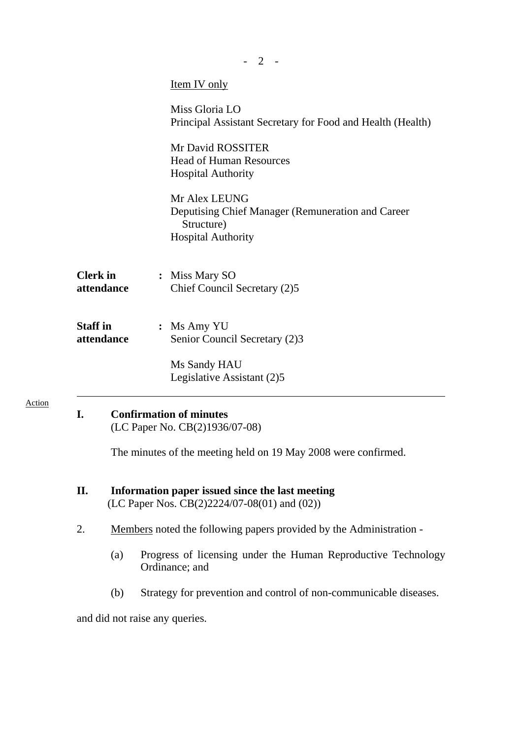| $-2$ -                                                                                                      |     |                                                                                 |                                                                                                               |  |
|-------------------------------------------------------------------------------------------------------------|-----|---------------------------------------------------------------------------------|---------------------------------------------------------------------------------------------------------------|--|
|                                                                                                             |     |                                                                                 | <u>Item IV only</u>                                                                                           |  |
|                                                                                                             |     |                                                                                 | Miss Gloria LO<br>Principal Assistant Secretary for Food and Health (Health)                                  |  |
|                                                                                                             |     |                                                                                 | Mr David ROSSITER<br><b>Head of Human Resources</b><br><b>Hospital Authority</b>                              |  |
|                                                                                                             |     |                                                                                 | Mr Alex LEUNG<br>Deputising Chief Manager (Remuneration and Career<br>Structure)<br><b>Hospital Authority</b> |  |
| <b>Clerk</b> in<br>attendance                                                                               |     |                                                                                 | : Miss Mary SO<br>Chief Council Secretary (2)5                                                                |  |
| <b>Staff</b> in<br>attendance                                                                               |     |                                                                                 | : Ms Amy YU<br>Senior Council Secretary (2)3                                                                  |  |
|                                                                                                             |     |                                                                                 | Ms Sandy HAU<br>Legislative Assistant (2)5                                                                    |  |
| <b>Confirmation of minutes</b><br>L.<br>(LC Paper No. CB(2)1936/07-08)                                      |     |                                                                                 |                                                                                                               |  |
| The minutes of the meeting held on 19 May 2008 were confirmed.                                              |     |                                                                                 |                                                                                                               |  |
| II.<br>Information paper issued since the last meeting<br>(LC Paper Nos. $CB(2)2224/07-08(01)$ and $(02)$ ) |     |                                                                                 |                                                                                                               |  |
| 2.                                                                                                          |     | Members noted the following papers provided by the Administration -             |                                                                                                               |  |
|                                                                                                             | (a) | Progress of licensing under the Human Reproductive Technology<br>Ordinance; and |                                                                                                               |  |
|                                                                                                             | (b) |                                                                                 | Strategy for prevention and control of non-communicable diseases.                                             |  |
|                                                                                                             |     |                                                                                 | and did not raise any queries.                                                                                |  |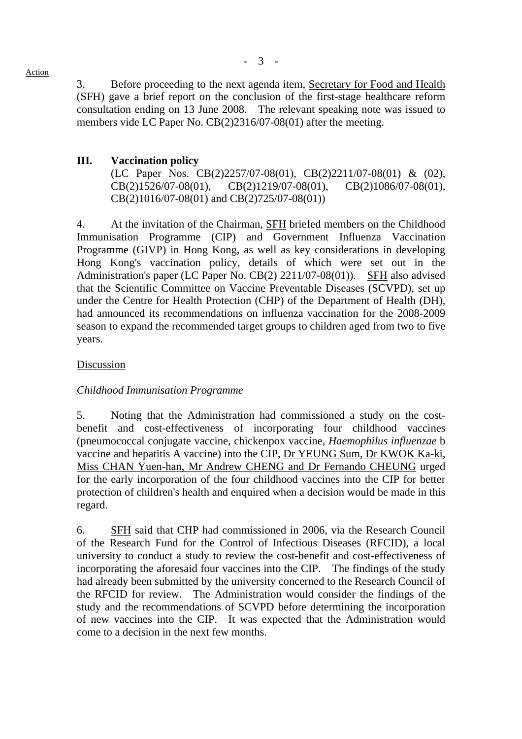Action

3. Before proceeding to the next agenda item, Secretary for Food and Health (SFH) gave a brief report on the conclusion of the first-stage healthcare reform consultation ending on 13 June 2008. The relevant speaking note was issued to members vide LC Paper No. CB(2)2316/07-08(01) after the meeting.

# **III. Vaccination policy**

 (LC Paper Nos. CB(2)2257/07-08(01), CB(2)2211/07-08(01) & (02), CB(2)1526/07-08(01), CB(2)1219/07-08(01), CB(2)1086/07-08(01), CB(2)1016/07-08(01) and CB(2)725/07-08(01))

4. At the invitation of the Chairman, **SFH** briefed members on the Childhood Immunisation Programme (CIP) and Government Influenza Vaccination Programme (GIVP) in Hong Kong, as well as key considerations in developing Hong Kong's vaccination policy, details of which were set out in the Administration's paper (LC Paper No. CB(2) 2211/07-08(01)). SFH also advised that the Scientific Committee on Vaccine Preventable Diseases (SCVPD), set up under the Centre for Health Protection (CHP) of the Department of Health (DH), had announced its recommendations on influenza vaccination for the 2008-2009 season to expand the recommended target groups to children aged from two to five years.

## Discussion

## *Childhood Immunisation Programme*

5. Noting that the Administration had commissioned a study on the costbenefit and cost-effectiveness of incorporating four childhood vaccines (pneumococcal conjugate vaccine, chickenpox vaccine, *Haemophilus influenzae* b vaccine and hepatitis A vaccine) into the CIP, Dr YEUNG Sum, Dr KWOK Ka-ki, Miss CHAN Yuen-han, Mr Andrew CHENG and Dr Fernando CHEUNG urged for the early incorporation of the four childhood vaccines into the CIP for better protection of children's health and enquired when a decision would be made in this regard.

6. SFH said that CHP had commissioned in 2006, via the Research Council of the Research Fund for the Control of Infectious Diseases (RFCID), a local university to conduct a study to review the cost-benefit and cost-effectiveness of incorporating the aforesaid four vaccines into the CIP. The findings of the study had already been submitted by the university concerned to the Research Council of the RFCID for review. The Administration would consider the findings of the study and the recommendations of SCVPD before determining the incorporation of new vaccines into the CIP. It was expected that the Administration would come to a decision in the next few months.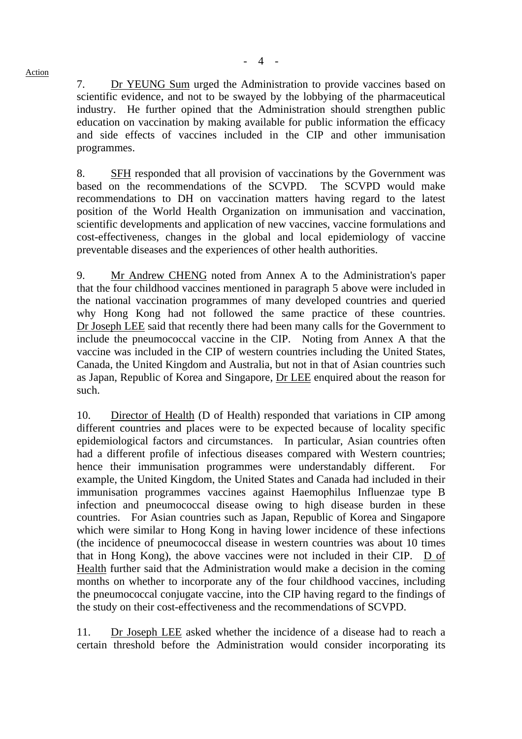7. Dr YEUNG Sum urged the Administration to provide vaccines based on scientific evidence, and not to be swayed by the lobbying of the pharmaceutical industry. He further opined that the Administration should strengthen public education on vaccination by making available for public information the efficacy and side effects of vaccines included in the CIP and other immunisation programmes.

8. SFH responded that all provision of vaccinations by the Government was based on the recommendations of the SCVPD. The SCVPD would make recommendations to DH on vaccination matters having regard to the latest position of the World Health Organization on immunisation and vaccination, scientific developments and application of new vaccines, vaccine formulations and cost-effectiveness, changes in the global and local epidemiology of vaccine preventable diseases and the experiences of other health authorities.

9. Mr Andrew CHENG noted from Annex A to the Administration's paper that the four childhood vaccines mentioned in paragraph 5 above were included in the national vaccination programmes of many developed countries and queried why Hong Kong had not followed the same practice of these countries. Dr Joseph LEE said that recently there had been many calls for the Government to include the pneumococcal vaccine in the CIP. Noting from Annex A that the vaccine was included in the CIP of western countries including the United States, Canada, the United Kingdom and Australia, but not in that of Asian countries such as Japan, Republic of Korea and Singapore, Dr LEE enquired about the reason for such.

10. Director of Health (D of Health) responded that variations in CIP among different countries and places were to be expected because of locality specific epidemiological factors and circumstances. In particular, Asian countries often had a different profile of infectious diseases compared with Western countries; hence their immunisation programmes were understandably different. For example, the United Kingdom, the United States and Canada had included in their immunisation programmes vaccines against Haemophilus Influenzae type B infection and pneumococcal disease owing to high disease burden in these countries. For Asian countries such as Japan, Republic of Korea and Singapore which were similar to Hong Kong in having lower incidence of these infections (the incidence of pneumococcal disease in western countries was about 10 times that in Hong Kong), the above vaccines were not included in their CIP. D of Health further said that the Administration would make a decision in the coming months on whether to incorporate any of the four childhood vaccines, including the pneumococcal conjugate vaccine, into the CIP having regard to the findings of the study on their cost-effectiveness and the recommendations of SCVPD.

11. Dr Joseph LEE asked whether the incidence of a disease had to reach a certain threshold before the Administration would consider incorporating its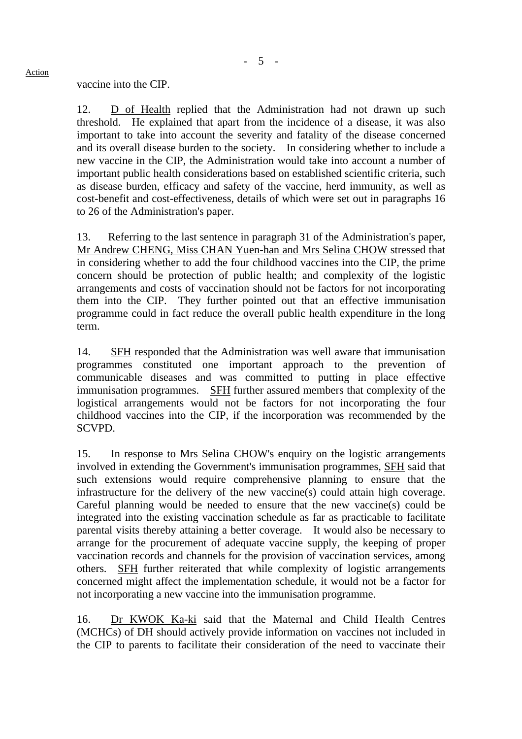vaccine into the CIP.

12. D of Health replied that the Administration had not drawn up such threshold. He explained that apart from the incidence of a disease, it was also important to take into account the severity and fatality of the disease concerned and its overall disease burden to the society. In considering whether to include a new vaccine in the CIP, the Administration would take into account a number of important public health considerations based on established scientific criteria, such as disease burden, efficacy and safety of the vaccine, herd immunity, as well as cost-benefit and cost-effectiveness, details of which were set out in paragraphs 16 to 26 of the Administration's paper.

13. Referring to the last sentence in paragraph 31 of the Administration's paper, Mr Andrew CHENG, Miss CHAN Yuen-han and Mrs Selina CHOW stressed that in considering whether to add the four childhood vaccines into the CIP, the prime concern should be protection of public health; and complexity of the logistic arrangements and costs of vaccination should not be factors for not incorporating them into the CIP. They further pointed out that an effective immunisation programme could in fact reduce the overall public health expenditure in the long term.

14. SFH responded that the Administration was well aware that immunisation programmes constituted one important approach to the prevention of communicable diseases and was committed to putting in place effective immunisation programmes. SFH further assured members that complexity of the logistical arrangements would not be factors for not incorporating the four childhood vaccines into the CIP, if the incorporation was recommended by the SCVPD.

15. In response to Mrs Selina CHOW's enquiry on the logistic arrangements involved in extending the Government's immunisation programmes, SFH said that such extensions would require comprehensive planning to ensure that the infrastructure for the delivery of the new vaccine(s) could attain high coverage. Careful planning would be needed to ensure that the new vaccine(s) could be integrated into the existing vaccination schedule as far as practicable to facilitate parental visits thereby attaining a better coverage. It would also be necessary to arrange for the procurement of adequate vaccine supply, the keeping of proper vaccination records and channels for the provision of vaccination services, among others. SFH further reiterated that while complexity of logistic arrangements concerned might affect the implementation schedule, it would not be a factor for not incorporating a new vaccine into the immunisation programme.

16. Dr KWOK Ka-ki said that the Maternal and Child Health Centres (MCHCs) of DH should actively provide information on vaccines not included in the CIP to parents to facilitate their consideration of the need to vaccinate their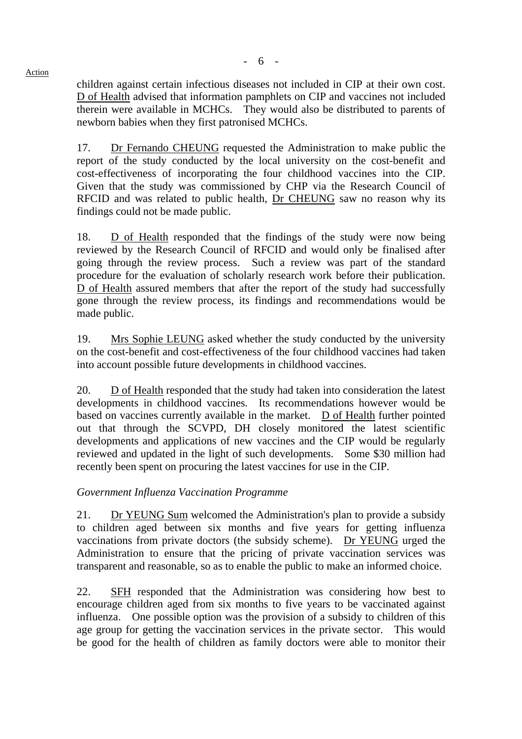children against certain infectious diseases not included in CIP at their own cost. D of Health advised that information pamphlets on CIP and vaccines not included therein were available in MCHCs. They would also be distributed to parents of newborn babies when they first patronised MCHCs.

17. Dr Fernando CHEUNG requested the Administration to make public the report of the study conducted by the local university on the cost-benefit and cost-effectiveness of incorporating the four childhood vaccines into the CIP. Given that the study was commissioned by CHP via the Research Council of RFCID and was related to public health, Dr CHEUNG saw no reason why its findings could not be made public.

18. D of Health responded that the findings of the study were now being reviewed by the Research Council of RFCID and would only be finalised after going through the review process. Such a review was part of the standard procedure for the evaluation of scholarly research work before their publication. D of Health assured members that after the report of the study had successfully gone through the review process, its findings and recommendations would be made public.

19. Mrs Sophie LEUNG asked whether the study conducted by the university on the cost-benefit and cost-effectiveness of the four childhood vaccines had taken into account possible future developments in childhood vaccines.

20. D of Health responded that the study had taken into consideration the latest developments in childhood vaccines. Its recommendations however would be based on vaccines currently available in the market. D of Health further pointed out that through the SCVPD, DH closely monitored the latest scientific developments and applications of new vaccines and the CIP would be regularly reviewed and updated in the light of such developments. Some \$30 million had recently been spent on procuring the latest vaccines for use in the CIP.

#### *Government Influenza Vaccination Programme*

21. Dr YEUNG Sum welcomed the Administration's plan to provide a subsidy to children aged between six months and five years for getting influenza vaccinations from private doctors (the subsidy scheme). Dr YEUNG urged the Administration to ensure that the pricing of private vaccination services was transparent and reasonable, so as to enable the public to make an informed choice.

22. SFH responded that the Administration was considering how best to encourage children aged from six months to five years to be vaccinated against influenza. One possible option was the provision of a subsidy to children of this age group for getting the vaccination services in the private sector. This would be good for the health of children as family doctors were able to monitor their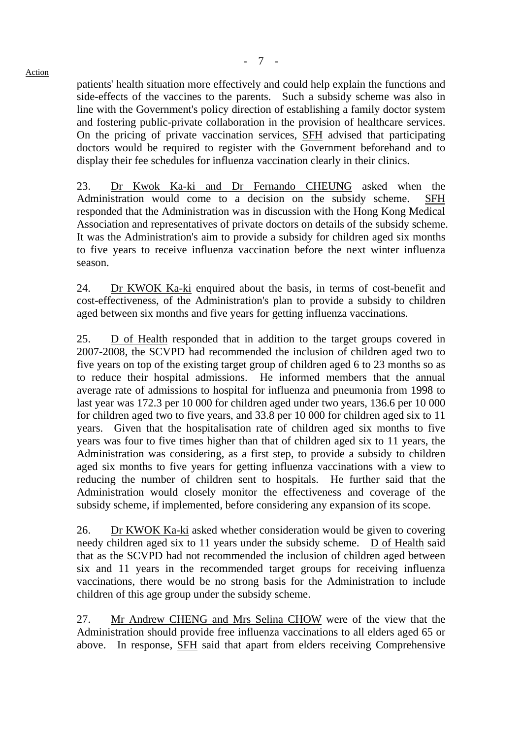patients' health situation more effectively and could help explain the functions and side-effects of the vaccines to the parents. Such a subsidy scheme was also in line with the Government's policy direction of establishing a family doctor system and fostering public-private collaboration in the provision of healthcare services. On the pricing of private vaccination services, SFH advised that participating doctors would be required to register with the Government beforehand and to display their fee schedules for influenza vaccination clearly in their clinics.

23. Dr Kwok Ka-ki and Dr Fernando CHEUNG asked when the Administration would come to a decision on the subsidy scheme. SFH responded that the Administration was in discussion with the Hong Kong Medical Association and representatives of private doctors on details of the subsidy scheme. It was the Administration's aim to provide a subsidy for children aged six months to five years to receive influenza vaccination before the next winter influenza season.

24. Dr KWOK Ka-ki enquired about the basis, in terms of cost-benefit and cost-effectiveness, of the Administration's plan to provide a subsidy to children aged between six months and five years for getting influenza vaccinations.

25. D of Health responded that in addition to the target groups covered in 2007-2008, the SCVPD had recommended the inclusion of children aged two to five years on top of the existing target group of children aged 6 to 23 months so as to reduce their hospital admissions. He informed members that the annual average rate of admissions to hospital for influenza and pneumonia from 1998 to last year was 172.3 per 10 000 for children aged under two years, 136.6 per 10 000 for children aged two to five years, and 33.8 per 10 000 for children aged six to 11 years. Given that the hospitalisation rate of children aged six months to five years was four to five times higher than that of children aged six to 11 years, the Administration was considering, as a first step, to provide a subsidy to children aged six months to five years for getting influenza vaccinations with a view to reducing the number of children sent to hospitals. He further said that the Administration would closely monitor the effectiveness and coverage of the subsidy scheme, if implemented, before considering any expansion of its scope.

26. Dr KWOK Ka-ki asked whether consideration would be given to covering needy children aged six to 11 years under the subsidy scheme. D of Health said that as the SCVPD had not recommended the inclusion of children aged between six and 11 years in the recommended target groups for receiving influenza vaccinations, there would be no strong basis for the Administration to include children of this age group under the subsidy scheme.

27. Mr Andrew CHENG and Mrs Selina CHOW were of the view that the Administration should provide free influenza vaccinations to all elders aged 65 or above. In response, SFH said that apart from elders receiving Comprehensive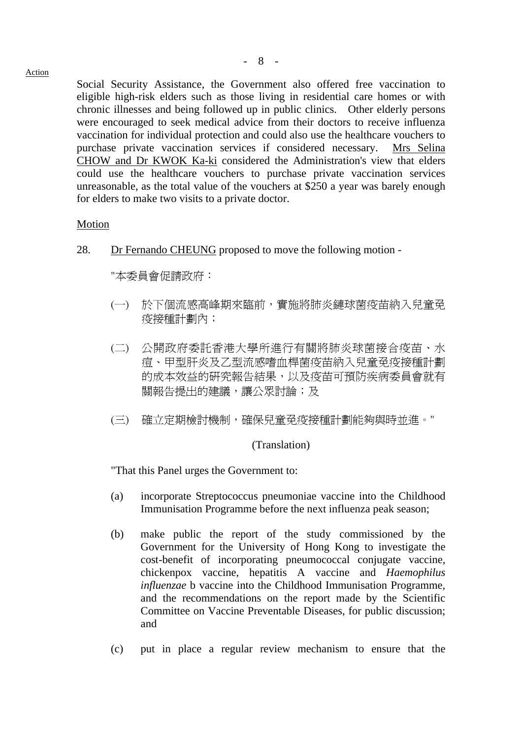Action

Social Security Assistance, the Government also offered free vaccination to eligible high-risk elders such as those living in residential care homes or with chronic illnesses and being followed up in public clinics. Other elderly persons were encouraged to seek medical advice from their doctors to receive influenza vaccination for individual protection and could also use the healthcare vouchers to purchase private vaccination services if considered necessary. Mrs Selina CHOW and Dr KWOK Ka-ki considered the Administration's view that elders could use the healthcare vouchers to purchase private vaccination services unreasonable, as the total value of the vouchers at \$250 a year was barely enough for elders to make two visits to a private doctor.

#### Motion

28. Dr Fernando CHEUNG proposed to move the following motion -

"本委員會促請政府:

- (一) 於下個流感高峰期來臨前,實施將肺炎鏈球菌疫苗納入兒童免 疫接種計劃內;
- (二) 公開政府委託香港大學所進行有關將肺炎球菌接合疫苗、水 痘、甲型肝炎及乙型流感嗜血桿菌疫苗納入兒童免疫接種計劃 的成本效益的研究報告結果,以及疫苗可預防疾病委員會就有 關報告提出的建議,讓公眾討論;及
- (三) 確立定期檢討機制,確保兒童免疫接種計劃能夠與時並進。"

#### (Translation)

"That this Panel urges the Government to:

- (a) incorporate Streptococcus pneumoniae vaccine into the Childhood Immunisation Programme before the next influenza peak season;
- (b) make public the report of the study commissioned by the Government for the University of Hong Kong to investigate the cost-benefit of incorporating pneumococcal conjugate vaccine, chickenpox vaccine, hepatitis A vaccine and *Haemophilus influenzae* b vaccine into the Childhood Immunisation Programme, and the recommendations on the report made by the Scientific Committee on Vaccine Preventable Diseases, for public discussion; and
- (c) put in place a regular review mechanism to ensure that the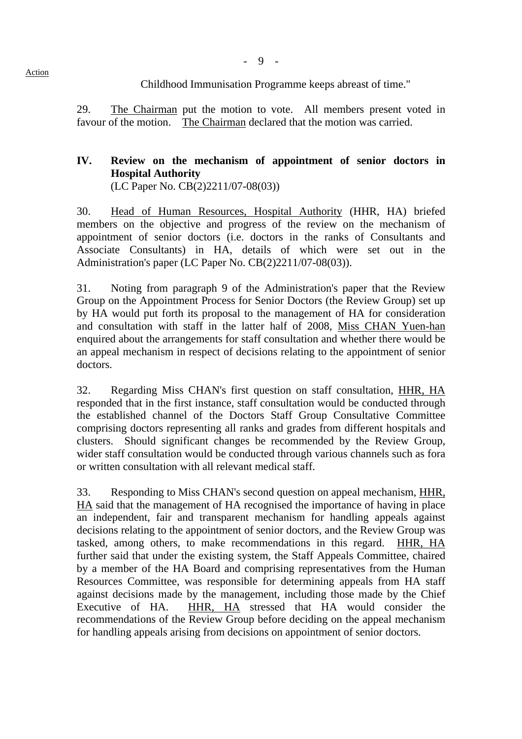- 9 -

Childhood Immunisation Programme keeps abreast of time."

29. The Chairman put the motion to vote. All members present voted in favour of the motion. The Chairman declared that the motion was carried.

# **IV. Review on the mechanism of appointment of senior doctors in Hospital Authority**

(LC Paper No. CB(2)2211/07-08(03))

30. Head of Human Resources, Hospital Authority (HHR, HA) briefed members on the objective and progress of the review on the mechanism of appointment of senior doctors (i.e. doctors in the ranks of Consultants and Associate Consultants) in HA, details of which were set out in the Administration's paper (LC Paper No. CB(2)2211/07-08(03)).

31. Noting from paragraph 9 of the Administration's paper that the Review Group on the Appointment Process for Senior Doctors (the Review Group) set up by HA would put forth its proposal to the management of HA for consideration and consultation with staff in the latter half of 2008, Miss CHAN Yuen-han enquired about the arrangements for staff consultation and whether there would be an appeal mechanism in respect of decisions relating to the appointment of senior doctors.

32. Regarding Miss CHAN's first question on staff consultation, HHR, HA responded that in the first instance, staff consultation would be conducted through the established channel of the Doctors Staff Group Consultative Committee comprising doctors representing all ranks and grades from different hospitals and clusters. Should significant changes be recommended by the Review Group, wider staff consultation would be conducted through various channels such as fora or written consultation with all relevant medical staff.

33. Responding to Miss CHAN's second question on appeal mechanism, HHR, HA said that the management of HA recognised the importance of having in place an independent, fair and transparent mechanism for handling appeals against decisions relating to the appointment of senior doctors, and the Review Group was tasked, among others, to make recommendations in this regard. HHR, HA further said that under the existing system, the Staff Appeals Committee, chaired by a member of the HA Board and comprising representatives from the Human Resources Committee, was responsible for determining appeals from HA staff against decisions made by the management, including those made by the Chief Executive of HA. HHR, HA stressed that HA would consider the recommendations of the Review Group before deciding on the appeal mechanism for handling appeals arising from decisions on appointment of senior doctors.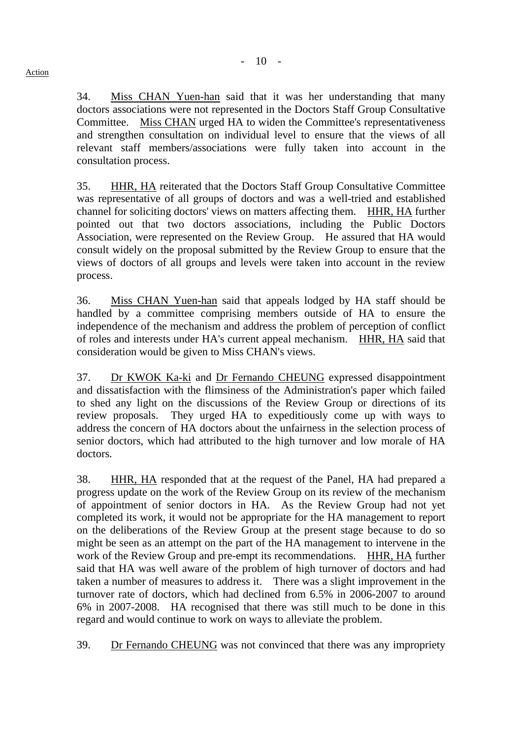34. Miss CHAN Yuen-han said that it was her understanding that many doctors associations were not represented in the Doctors Staff Group Consultative Committee. Miss CHAN urged HA to widen the Committee's representativeness and strengthen consultation on individual level to ensure that the views of all relevant staff members/associations were fully taken into account in the consultation process.

35. HHR, HA reiterated that the Doctors Staff Group Consultative Committee was representative of all groups of doctors and was a well-tried and established channel for soliciting doctors' views on matters affecting them. HHR, HA further pointed out that two doctors associations, including the Public Doctors Association, were represented on the Review Group. He assured that HA would consult widely on the proposal submitted by the Review Group to ensure that the views of doctors of all groups and levels were taken into account in the review process.

36. Miss CHAN Yuen-han said that appeals lodged by HA staff should be handled by a committee comprising members outside of HA to ensure the independence of the mechanism and address the problem of perception of conflict of roles and interests under HA's current appeal mechanism. HHR, HA said that consideration would be given to Miss CHAN's views.

37. Dr KWOK Ka-ki and Dr Fernando CHEUNG expressed disappointment and dissatisfaction with the flimsiness of the Administration's paper which failed to shed any light on the discussions of the Review Group or directions of its review proposals. They urged HA to expeditiously come up with ways to address the concern of HA doctors about the unfairness in the selection process of senior doctors, which had attributed to the high turnover and low morale of HA doctors.

38. HHR, HA responded that at the request of the Panel, HA had prepared a progress update on the work of the Review Group on its review of the mechanism of appointment of senior doctors in HA. As the Review Group had not yet completed its work, it would not be appropriate for the HA management to report on the deliberations of the Review Group at the present stage because to do so might be seen as an attempt on the part of the HA management to intervene in the work of the Review Group and pre-empt its recommendations. HHR, HA further said that HA was well aware of the problem of high turnover of doctors and had taken a number of measures to address it. There was a slight improvement in the turnover rate of doctors, which had declined from 6.5% in 2006-2007 to around 6% in 2007-2008. HA recognised that there was still much to be done in this regard and would continue to work on ways to alleviate the problem.

39. Dr Fernando CHEUNG was not convinced that there was any impropriety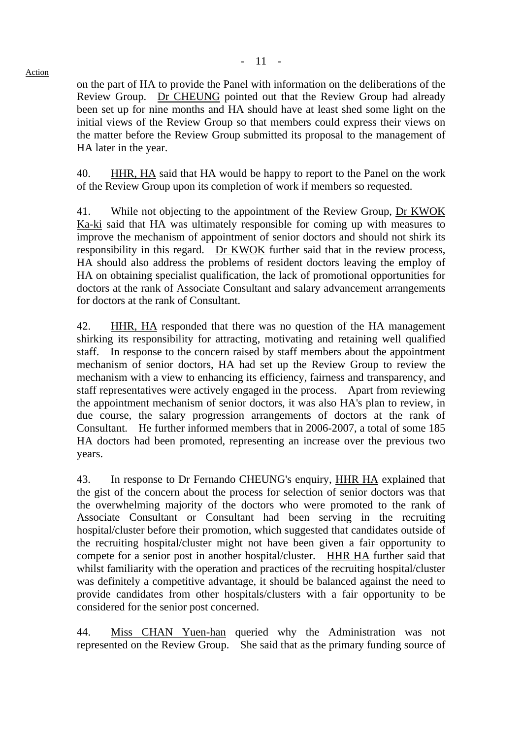on the part of HA to provide the Panel with information on the deliberations of the Review Group. Dr CHEUNG pointed out that the Review Group had already been set up for nine months and HA should have at least shed some light on the initial views of the Review Group so that members could express their views on the matter before the Review Group submitted its proposal to the management of HA later in the year.

40. HHR, HA said that HA would be happy to report to the Panel on the work of the Review Group upon its completion of work if members so requested.

41. While not objecting to the appointment of the Review Group, Dr KWOK Ka-ki said that HA was ultimately responsible for coming up with measures to improve the mechanism of appointment of senior doctors and should not shirk its responsibility in this regard. Dr KWOK further said that in the review process, HA should also address the problems of resident doctors leaving the employ of HA on obtaining specialist qualification, the lack of promotional opportunities for doctors at the rank of Associate Consultant and salary advancement arrangements for doctors at the rank of Consultant.

42. HHR, HA responded that there was no question of the HA management shirking its responsibility for attracting, motivating and retaining well qualified staff. In response to the concern raised by staff members about the appointment mechanism of senior doctors, HA had set up the Review Group to review the mechanism with a view to enhancing its efficiency, fairness and transparency, and staff representatives were actively engaged in the process. Apart from reviewing the appointment mechanism of senior doctors, it was also HA's plan to review, in due course, the salary progression arrangements of doctors at the rank of Consultant. He further informed members that in 2006-2007, a total of some 185 HA doctors had been promoted, representing an increase over the previous two years.

43. In response to Dr Fernando CHEUNG's enquiry, HHR HA explained that the gist of the concern about the process for selection of senior doctors was that the overwhelming majority of the doctors who were promoted to the rank of Associate Consultant or Consultant had been serving in the recruiting hospital/cluster before their promotion, which suggested that candidates outside of the recruiting hospital/cluster might not have been given a fair opportunity to compete for a senior post in another hospital/cluster. HHR HA further said that whilst familiarity with the operation and practices of the recruiting hospital/cluster was definitely a competitive advantage, it should be balanced against the need to provide candidates from other hospitals/clusters with a fair opportunity to be considered for the senior post concerned.

44. Miss CHAN Yuen-han queried why the Administration was not represented on the Review Group. She said that as the primary funding source of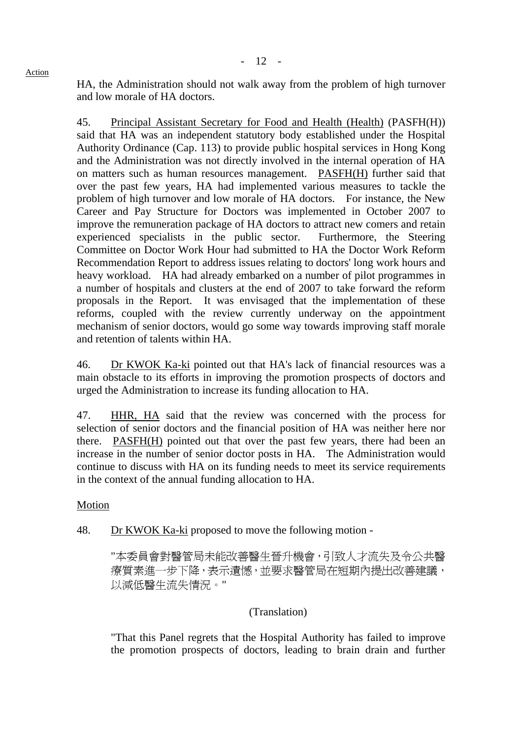HA, the Administration should not walk away from the problem of high turnover and low morale of HA doctors.

45. Principal Assistant Secretary for Food and Health (Health) (PASFH(H)) said that HA was an independent statutory body established under the Hospital Authority Ordinance (Cap. 113) to provide public hospital services in Hong Kong and the Administration was not directly involved in the internal operation of HA on matters such as human resources management. PASFH(H) further said that over the past few years, HA had implemented various measures to tackle the problem of high turnover and low morale of HA doctors. For instance, the New Career and Pay Structure for Doctors was implemented in October 2007 to improve the remuneration package of HA doctors to attract new comers and retain experienced specialists in the public sector. Furthermore, the Steering Committee on Doctor Work Hour had submitted to HA the Doctor Work Reform Recommendation Report to address issues relating to doctors' long work hours and heavy workload. HA had already embarked on a number of pilot programmes in a number of hospitals and clusters at the end of 2007 to take forward the reform proposals in the Report. It was envisaged that the implementation of these reforms, coupled with the review currently underway on the appointment mechanism of senior doctors, would go some way towards improving staff morale and retention of talents within HA.

46. Dr KWOK Ka-ki pointed out that HA's lack of financial resources was a main obstacle to its efforts in improving the promotion prospects of doctors and urged the Administration to increase its funding allocation to HA.

47. HHR, HA said that the review was concerned with the process for selection of senior doctors and the financial position of HA was neither here nor there. PASFH(H) pointed out that over the past few years, there had been an increase in the number of senior doctor posts in HA. The Administration would continue to discuss with HA on its funding needs to meet its service requirements in the context of the annual funding allocation to HA.

Motion

48. Dr KWOK Ka-ki proposed to move the following motion -

"本委員會對醫管局未能改善醫生晉升機會,引致人才流失及令公共醫 療質素進一步下降,表示遺憾,並要求醫管局在短期內提出改善建議, 以減低醫生流失情況。"

## (Translation)

"That this Panel regrets that the Hospital Authority has failed to improve the promotion prospects of doctors, leading to brain drain and further